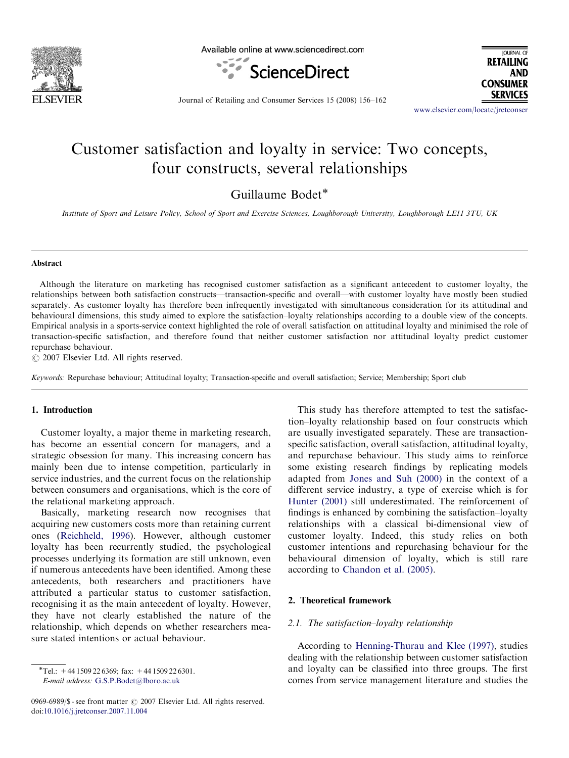

Available online at www.sciencedirect.com





Journal of Retailing and Consumer Services 15 (2008) 156–162

<www.elsevier.com/locate/jretconser>

## Customer satisfaction and loyalty in service: Two concepts, four constructs, several relationships

Guillaume Bodet\*

Institute of Sport and Leisure Policy, School of Sport and Exercise Sciences, Loughborough University, Loughborough LE11 3TU, UK

#### Abstract

Although the literature on marketing has recognised customer satisfaction as a significant antecedent to customer loyalty, the relationships between both satisfaction constructs—transaction-specific and overall—with customer loyalty have mostly been studied separately. As customer loyalty has therefore been infrequently investigated with simultaneous consideration for its attitudinal and behavioural dimensions, this study aimed to explore the satisfaction–loyalty relationships according to a double view of the concepts. Empirical analysis in a sports-service context highlighted the role of overall satisfaction on attitudinal loyalty and minimised the role of transaction-specific satisfaction, and therefore found that neither customer satisfaction nor attitudinal loyalty predict customer repurchase behaviour.

 $\odot$  2007 Elsevier Ltd. All rights reserved.

Keywords: Repurchase behaviour; Attitudinal loyalty; Transaction-specific and overall satisfaction; Service; Membership; Sport club

### 1. Introduction

Customer loyalty, a major theme in marketing research, has become an essential concern for managers, and a strategic obsession for many. This increasing concern has mainly been due to intense competition, particularly in service industries, and the current focus on the relationship between consumers and organisations, which is the core of the relational marketing approach.

Basically, marketing research now recognises that acquiring new customers costs more than retaining current ones [\(Reichheld, 1996](#page--1-0)). However, although customer loyalty has been recurrently studied, the psychological processes underlying its formation are still unknown, even if numerous antecedents have been identified. Among these antecedents, both researchers and practitioners have attributed a particular status to customer satisfaction, recognising it as the main antecedent of loyalty. However, they have not clearly established the nature of the relationship, which depends on whether researchers measure stated intentions or actual behaviour.

E-mail address: [G.S.P.Bodet@lboro.ac.uk](mailto:G.S.P.Bodet@lboro.ac.uk)

This study has therefore attempted to test the satisfaction–loyalty relationship based on four constructs which are usually investigated separately. These are transactionspecific satisfaction, overall satisfaction, attitudinal loyalty, and repurchase behaviour. This study aims to reinforce some existing research findings by replicating models adapted from [Jones and Suh \(2000\)](#page--1-0) in the context of a different service industry, a type of exercise which is for [Hunter \(2001\)](#page--1-0) still underestimated. The reinforcement of findings is enhanced by combining the satisfaction–loyalty relationships with a classical bi-dimensional view of customer loyalty. Indeed, this study relies on both customer intentions and repurchasing behaviour for the behavioural dimension of loyalty, which is still rare according to [Chandon et al. \(2005\)](#page--1-0).

#### 2. Theoretical framework

#### 2.1. The satisfaction–loyalty relationship

According to [Henning-Thurau and Klee \(1997\)](#page--1-0), studies dealing with the relationship between customer satisfaction and loyalty can be classified into three groups. The first comes from service management literature and studies the

 $\overline{\text{F}}$ Tel.: +44 1509 22 6369; fax: +44 1509 22 6301.

<sup>0969-6989/\$ -</sup> see front matter  $\odot$  2007 Elsevier Ltd. All rights reserved. doi:[10.1016/j.jretconser.2007.11.004](dx.doi.org/10.1016/j.jretconser.2007.11.004)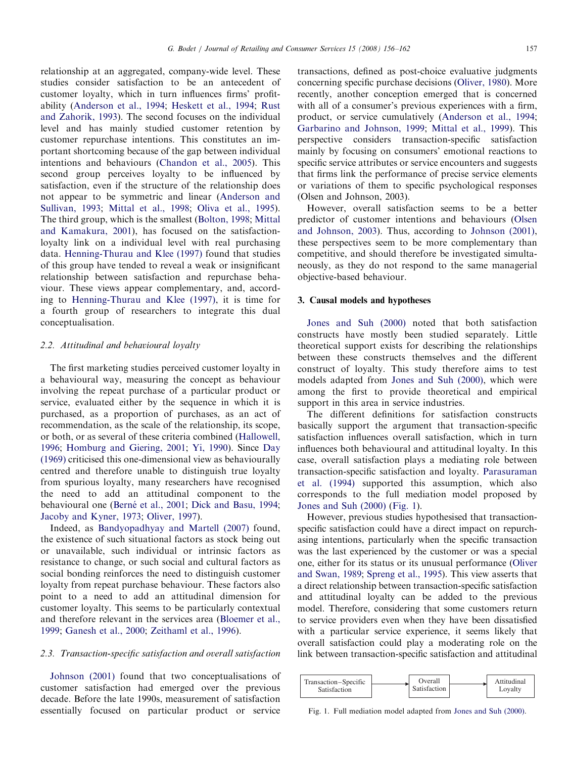relationship at an aggregated, company-wide level. These studies consider satisfaction to be an antecedent of customer loyalty, which in turn influences firms' profitability [\(Anderson et al., 1994;](#page--1-0) [Heskett et al., 1994](#page--1-0); [Rust](#page--1-0) [and Zahorik, 1993\)](#page--1-0). The second focuses on the individual level and has mainly studied customer retention by customer repurchase intentions. This constitutes an important shortcoming because of the gap between individual intentions and behaviours ([Chandon et al., 2005\)](#page--1-0). This second group perceives loyalty to be influenced by satisfaction, even if the structure of the relationship does not appear to be symmetric and linear [\(Anderson and](#page--1-0) [Sullivan, 1993](#page--1-0); [Mittal et al., 1998](#page--1-0); [Oliva et al., 1995\)](#page--1-0). The third group, which is the smallest [\(Bolton, 1998;](#page--1-0) [Mittal](#page--1-0) [and Kamakura, 2001](#page--1-0)), has focused on the satisfactionloyalty link on a individual level with real purchasing data. [Henning-Thurau and Klee \(1997\)](#page--1-0) found that studies of this group have tended to reveal a weak or insignificant relationship between satisfaction and repurchase behaviour. These views appear complementary, and, according to [Henning-Thurau and Klee \(1997\),](#page--1-0) it is time for a fourth group of researchers to integrate this dual conceptualisation.

#### 2.2. Attitudinal and behavioural loyalty

The first marketing studies perceived customer loyalty in a behavioural way, measuring the concept as behaviour involving the repeat purchase of a particular product or service, evaluated either by the sequence in which it is purchased, as a proportion of purchases, as an act of recommendation, as the scale of the relationship, its scope, or both, or as several of these criteria combined ([Hallowell,](#page--1-0) [1996](#page--1-0); [Homburg and Giering, 2001;](#page--1-0) [Yi, 1990\)](#page--1-0). Since [Day](#page--1-0) [\(1969\)](#page--1-0) criticised this one-dimensional view as behaviourally centred and therefore unable to distinguish true loyalty from spurious loyalty, many researchers have recognised the need to add an attitudinal component to the behavioural one (Berné [et al., 2001](#page--1-0); [Dick and Basu, 1994;](#page--1-0) [Jacoby and Kyner, 1973;](#page--1-0) [Oliver, 1997](#page--1-0)).

Indeed, as [Bandyopadhyay and Martell \(2007\)](#page--1-0) found, the existence of such situational factors as stock being out or unavailable, such individual or intrinsic factors as resistance to change, or such social and cultural factors as social bonding reinforces the need to distinguish customer loyalty from repeat purchase behaviour. These factors also point to a need to add an attitudinal dimension for customer loyalty. This seems to be particularly contextual and therefore relevant in the services area [\(Bloemer et al.,](#page--1-0) [1999](#page--1-0); [Ganesh et al., 2000;](#page--1-0) [Zeithaml et al., 1996\)](#page--1-0).

#### 2.3. Transaction-specific satisfaction and overall satisfaction

[Johnson \(2001\)](#page--1-0) found that two conceptualisations of customer satisfaction had emerged over the previous decade. Before the late 1990s, measurement of satisfaction essentially focused on particular product or service

transactions, defined as post-choice evaluative judgments concerning specific purchase decisions ([Oliver, 1980](#page--1-0)). More recently, another conception emerged that is concerned with all of a consumer's previous experiences with a firm, product, or service cumulatively ([Anderson et al., 1994;](#page--1-0) [Garbarino and Johnson, 1999;](#page--1-0) [Mittal et al., 1999](#page--1-0)). This perspective considers transaction-specific satisfaction mainly by focusing on consumers' emotional reactions to specific service attributes or service encounters and suggests that firms link the performance of precise service elements or variations of them to specific psychological responses (Olsen and Johnson, 2003).

However, overall satisfaction seems to be a better predictor of customer intentions and behaviours [\(Olsen](#page--1-0) [and Johnson, 2003\)](#page--1-0). Thus, according to [Johnson \(2001\),](#page--1-0) these perspectives seem to be more complementary than competitive, and should therefore be investigated simultaneously, as they do not respond to the same managerial objective-based behaviour.

#### 3. Causal models and hypotheses

[Jones and Suh \(2000\)](#page--1-0) noted that both satisfaction constructs have mostly been studied separately. Little theoretical support exists for describing the relationships between these constructs themselves and the different construct of loyalty. This study therefore aims to test models adapted from [Jones and Suh \(2000\)](#page--1-0), which were among the first to provide theoretical and empirical support in this area in service industries.

The different definitions for satisfaction constructs basically support the argument that transaction-specific satisfaction influences overall satisfaction, which in turn influences both behavioural and attitudinal loyalty. In this case, overall satisfaction plays a mediating role between transaction-specific satisfaction and loyalty. [Parasuraman](#page--1-0) [et al. \(1994\)](#page--1-0) supported this assumption, which also corresponds to the full mediation model proposed by [Jones and Suh \(2000\)](#page--1-0) (Fig. 1).

However, previous studies hypothesised that transactionspecific satisfaction could have a direct impact on repurchasing intentions, particularly when the specific transaction was the last experienced by the customer or was a special one, either for its status or its unusual performance ([Oliver](#page--1-0) [and Swan, 1989;](#page--1-0) [Spreng et al., 1995\)](#page--1-0). This view asserts that a direct relationship between transaction-specific satisfaction and attitudinal loyalty can be added to the previous model. Therefore, considering that some customers return to service providers even when they have been dissatisfied with a particular service experience, it seems likely that overall satisfaction could play a moderating role on the link between transaction-specific satisfaction and attitudinal



Fig. 1. Full mediation model adapted from [Jones and Suh \(2000\)](#page--1-0).